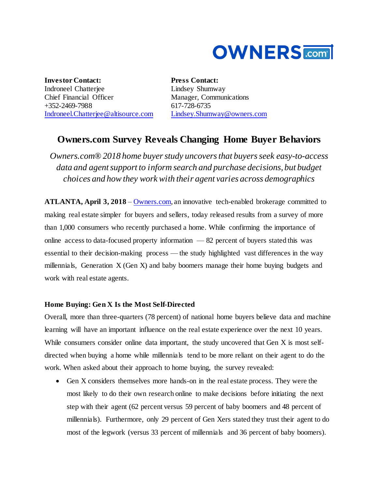

**Investor Contact:** Indroneel Chatterjee Chief Financial Officer +352-2469-7988 [Indroneel.Chatterjee@altisource.com](mailto:Indroneel.Chatterjee@altisource.com) **Press Contact:** Lindsey Shumway Manager, Communications 617-728-6735 [Lindsey.Shumway@owners.com](mailto:lindsey.shumway@owners.com)

# **Owners.com Survey Reveals Changing Home Buyer Behaviors**

*Owners.com® 2018 home buyer study uncovers that buyers seek easy-to-access data and agent support to inform search and purchase decisions, but budget choices and how they work with their agent varies across demographics*

**ATLANTA, April 3, 2018** – [Owners.com,](https://www.owners.com/?utm_source=pr&utm_medium=pr&utm_campaign=2018consumersurvey&utm_content=first) an innovative tech-enabled brokerage committed to making real estate simpler for buyers and sellers, today released results from a survey of more than 1,000 consumers who recently purchased a home. While confirming the importance of online access to data-focused property information — 82 percent of buyers stated this was essential to their decision-making process — the study highlighted vast differences in the way millennials, Generation X (Gen X) and baby boomers manage their home buying budgets and work with real estate agents.

### **Home Buying: Gen X Is the Most Self-Directed**

Overall, more than three-quarters (78 percent) of national home buyers believe data and machine learning will have an important influence on the real estate experience over the next 10 years. While consumers consider online data important, the study uncovered that Gen X is most selfdirected when buying a home while millennials tend to be more reliant on their agent to do the work. When asked about their approach to home buying, the survey revealed:

 Gen X considers themselves more hands-on in the real estate process. They were the most likely to do their own research online to make decisions before initiating the next step with their agent (62 percent versus 59 percent of baby boomers and 48 percent of millennials). Furthermore, only 29 percent of Gen Xers stated they trust their agent to do most of the legwork (versus 33 percent of millennials and 36 percent of baby boomers).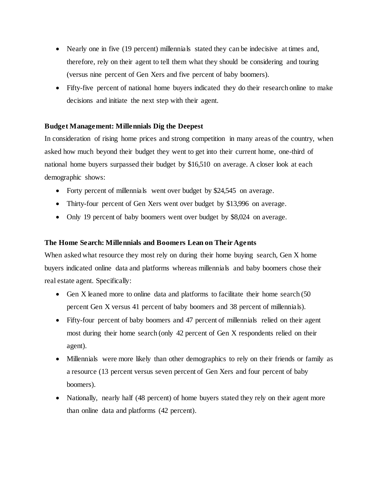- Nearly one in five (19 percent) millennials stated they can be indecisive at times and, therefore, rely on their agent to tell them what they should be considering and touring (versus nine percent of Gen Xers and five percent of baby boomers).
- Fifty-five percent of national home buyers indicated they do their research online to make decisions and initiate the next step with their agent.

### **Budget Management: Millennials Dig the Deepest**

In consideration of rising home prices and strong competition in many areas of the country, when asked how much beyond their budget they went to get into their current home, one-third of national home buyers surpassed their budget by \$16,510 on average. A closer look at each demographic shows:

- Forty percent of millennials went over budget by \$24,545 on average.
- Thirty-four percent of Gen Xers went over budget by \$13,996 on average.
- Only 19 percent of baby boomers went over budget by \$8,024 on average.

### **The Home Search: Millennials and Boomers Lean on Their Agents**

When asked what resource they most rely on during their home buying search, Gen X home buyers indicated online data and platforms whereas millennials and baby boomers chose their real estate agent. Specifically:

- Gen X leaned more to online data and platforms to facilitate their home search (50 percent Gen X versus 41 percent of baby boomers and 38 percent of millennials).
- Fifty-four percent of baby boomers and 47 percent of millennials relied on their agent most during their home search (only 42 percent of Gen X respondents relied on their agent).
- Millennials were more likely than other demographics to rely on their friends or family as a resource (13 percent versus seven percent of Gen Xers and four percent of baby boomers).
- Nationally, nearly half (48 percent) of home buyers stated they rely on their agent more than online data and platforms (42 percent).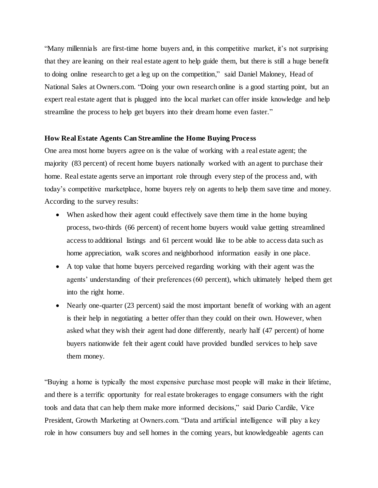"Many millennials are first-time home buyers and, in this competitive market, it's not surprising that they are leaning on their real estate agent to help guide them, but there is still a huge benefit to doing online research to get a leg up on the competition," said Daniel Maloney, Head of National Sales at Owners.com. "Doing your own research online is a good starting point, but an expert real estate agent that is plugged into the local market can offer inside knowledge and help streamline the process to help get buyers into their dream home even faster."

#### **How Real Estate Agents Can Streamline the Home Buying Process**

One area most home buyers agree on is the value of working with a real estate agent; the majority (83 percent) of recent home buyers nationally worked with an agent to purchase their home. Real estate agents serve an important role through every step of the process and, with today's competitive marketplace, home buyers rely on agents to help them save time and money. According to the survey results:

- When asked how their agent could effectively save them time in the home buying process, two-thirds (66 percent) of recent home buyers would value getting streamlined access to additional listings and 61 percent would like to be able to access data such as home appreciation, walk scores and neighborhood information easily in one place.
- A top value that home buyers perceived regarding working with their agent was the agents' understanding of their preferences (60 percent), which ultimately helped them get into the right home.
- Nearly one-quarter (23 percent) said the most important benefit of working with an agent is their help in negotiating a better offer than they could on their own. However, when asked what they wish their agent had done differently, nearly half (47 percent) of home buyers nationwide felt their agent could have provided bundled services to help save them money.

"Buying a home is typically the most expensive purchase most people will make in their lifetime, and there is a terrific opportunity for real estate brokerages to engage consumers with the right tools and data that can help them make more informed decisions," said Dario Cardile, Vice President, Growth Marketing at Owners.com. "Data and artificial intelligence will play a key role in how consumers buy and sell homes in the coming years, but knowledgeable agents can